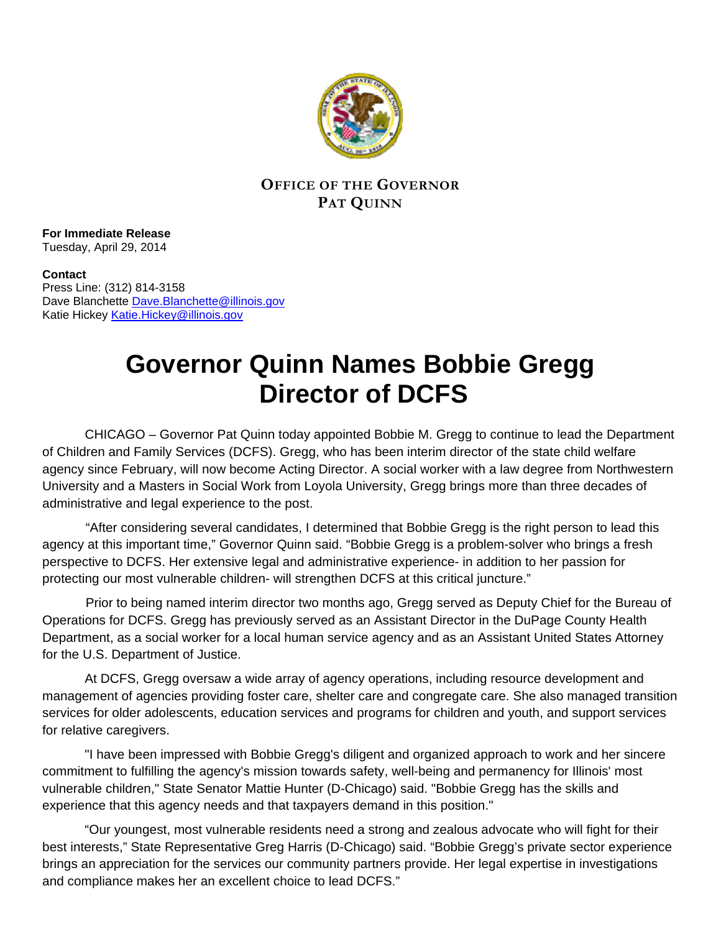

## **OFFICE OF THE GOVERNOR PAT QUINN**

**For Immediate Release** Tuesday, April 29, 2014

**Contact** Press Line: (312) 814-3158 Dave Blanchette Dave. Blanchette@illinois.gov Katie Hickey [Katie.Hickey@illinois.gov](mailto:Katie.Hickey@illinois.gov)

## **Governor Quinn Names Bobbie Gregg Director of DCFS**

 CHICAGO – Governor Pat Quinn today appointed Bobbie M. Gregg to continue to lead the Department of Children and Family Services (DCFS). Gregg, who has been interim director of the state child welfare agency since February, will now become Acting Director. A social worker with a law degree from Northwestern University and a Masters in Social Work from Loyola University, Gregg brings more than three decades of administrative and legal experience to the post.

 "After considering several candidates, I determined that Bobbie Gregg is the right person to lead this agency at this important time," Governor Quinn said. "Bobbie Gregg is a problem-solver who brings a fresh perspective to DCFS. Her extensive legal and administrative experience- in addition to her passion for protecting our most vulnerable children- will strengthen DCFS at this critical juncture."

 Prior to being named interim director two months ago, Gregg served as Deputy Chief for the Bureau of Operations for DCFS. Gregg has previously served as an Assistant Director in the DuPage County Health Department, as a social worker for a local human service agency and as an Assistant United States Attorney for the U.S. Department of Justice.

At DCFS, Gregg oversaw a wide array of agency operations, including resource development and management of agencies providing foster care, shelter care and congregate care. She also managed transition services for older adolescents, education services and programs for children and youth, and support services for relative caregivers.

"I have been impressed with Bobbie Gregg's diligent and organized approach to work and her sincere commitment to fulfilling the agency's mission towards safety, well-being and permanency for Illinois' most vulnerable children," State Senator Mattie Hunter (D-Chicago) said. "Bobbie Gregg has the skills and experience that this agency needs and that taxpayers demand in this position."

"Our youngest, most vulnerable residents need a strong and zealous advocate who will fight for their best interests," State Representative Greg Harris (D-Chicago) said. "Bobbie Gregg's private sector experience brings an appreciation for the services our community partners provide. Her legal expertise in investigations and compliance makes her an excellent choice to lead DCFS."